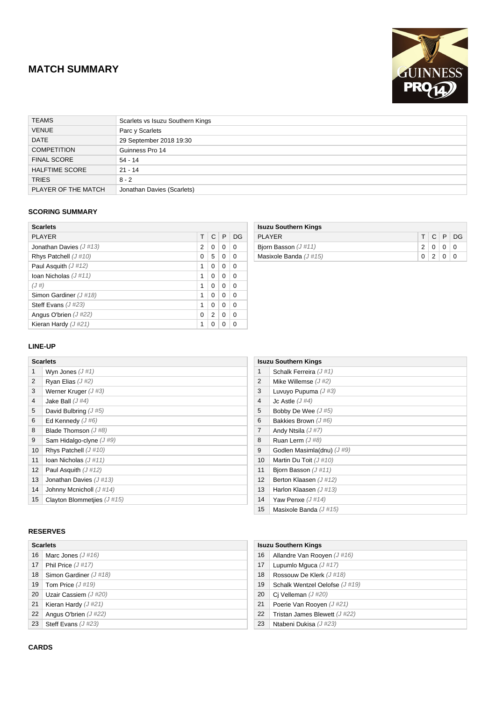# **MATCH SUMMARY**



| <b>TEAMS</b>          | Scarlets vs Isuzu Southern Kings |
|-----------------------|----------------------------------|
| <b>VENUE</b>          | Parc y Scarlets                  |
| <b>DATE</b>           | 29 September 2018 19:30          |
| <b>COMPETITION</b>    | Guinness Pro 14                  |
| <b>FINAL SCORE</b>    | $54 - 14$                        |
| <b>HALFTIME SCORE</b> | $21 - 14$                        |
| <b>TRIES</b>          | $8 - 2$                          |
| PLAYER OF THE MATCH   | Jonathan Davies (Scarlets)       |

# **SCORING SUMMARY**

| <b>Scarlets</b>          |   |          |              |          |  |
|--------------------------|---|----------|--------------|----------|--|
| <b>PLAYER</b>            |   | C        | $\mathsf{P}$ | DG       |  |
| Jonathan Davies $(J#13)$ | 2 | $\Omega$ | 0            | $\Omega$ |  |
| Rhys Patchell $(J #10)$  | 0 | 5        | 0            | $\Omega$ |  |
| Paul Asquith $(J #12)$   |   | $\Omega$ | 0            | 0        |  |
| Ioan Nicholas $(J #11)$  |   | $\Omega$ | $\Omega$     | $\Omega$ |  |
| (J#)                     |   | 0        | 0            | $\Omega$ |  |
| Simon Gardiner (J#18)    |   | $\Omega$ | 0            | 0        |  |
| Steff Evans $(J#23)$     |   | $\Omega$ | 0            | $\Omega$ |  |
| Angus O'brien $(J#22)$   |   | 2        | 0            | $\Omega$ |  |
| Kieran Hardy $(J#21)$    |   | O        | 0            | 0        |  |

#### **Isuzu Southern Kings**

| PLAYER                   |  |            | T C P DG |
|--------------------------|--|------------|----------|
| Bjorn Basson $(J #11)$   |  | 20000      |          |
| Masixole Banda $(J #15)$ |  | $0$  2 0 0 |          |

### **LINE-UP**

|    | <b>Scarlets</b>              |  |  |  |  |
|----|------------------------------|--|--|--|--|
| 1  | Wyn Jones $(J#1)$            |  |  |  |  |
| 2  | Ryan Elias $(J#2)$           |  |  |  |  |
| 3  | Werner Kruger $(J \#3)$      |  |  |  |  |
| 4  | Jake Ball $(J#4)$            |  |  |  |  |
| 5  | David Bulbring $(J#5)$       |  |  |  |  |
| 6  | Ed Kennedy $(J#6)$           |  |  |  |  |
| 8  | Blade Thomson $(J#8)$        |  |  |  |  |
| 9  | Sam Hidalgo-clyne $(J#9)$    |  |  |  |  |
| 10 | Rhys Patchell $(J #10)$      |  |  |  |  |
| 11 | Ioan Nicholas $(J #11)$      |  |  |  |  |
| 12 | Paul Asquith $(J # 12)$      |  |  |  |  |
| 13 | Jonathan Davies $(J#13)$     |  |  |  |  |
| 14 | Johnny Mcnicholl $(J #14)$   |  |  |  |  |
| 15 | Clayton Blommetiies $(J#15)$ |  |  |  |  |

|                 | <b>Isuzu Southern Kings</b> |
|-----------------|-----------------------------|
| 1               | Schalk Ferreira (J#1)       |
| 2               | Mike Willemse $(J#2)$       |
| 3               | Luvuyo Pupuma $(J#3)$       |
| 4               | Jc Astle $(J#4)$            |
| 5               | Bobby De Wee $(J#5)$        |
| 6               | Bakkies Brown (J#6)         |
| $\overline{7}$  | Andy Ntsila $(J#7)$         |
| 8               | Ruan Lerm $(J#8)$           |
| 9               | Godlen Masimla(dnu) $(J#9)$ |
| 10              | Martin Du Toit $(J #10)$    |
| 11              | Bjorn Basson $(J #11)$      |
| 12 <sup>2</sup> | Berton Klaasen (J#12)       |
| 13              | Harlon Klaasen $(J#13)$     |
| 14              | Yaw Penxe $(J #14)$         |
| 15              | Masixole Banda $(J #15)$    |

# **RESERVES**

|    | <b>Scarlets</b>          |  |  |  |  |
|----|--------------------------|--|--|--|--|
| 16 | Marc Jones $(J #16)$     |  |  |  |  |
| 17 | Phil Price $(J #17)$     |  |  |  |  |
| 18 | Simon Gardiner $(J #18)$ |  |  |  |  |
| 19 | Tom Price $(J #19)$      |  |  |  |  |
| 20 | Uzair Cassiem $(J#20)$   |  |  |  |  |
| 21 | Kieran Hardy $(J#21)$    |  |  |  |  |
| 22 | Angus O'brien $(J#22)$   |  |  |  |  |
| 23 | Steff Evans $(J#23)$     |  |  |  |  |

| <b>Isuzu Southern Kings</b>    |  |  |  |  |
|--------------------------------|--|--|--|--|
| Allandre Van Rooyen $(J#16)$   |  |  |  |  |
| Lupumlo Mquca $(J #17)$        |  |  |  |  |
| Rossouw De Klerk $(J#18)$      |  |  |  |  |
| Schalk Wentzel Oelofse (J#19)  |  |  |  |  |
| Ci Velleman $(J#20)$           |  |  |  |  |
| Poerie Van Rooyen (J#21)       |  |  |  |  |
| Tristan James Blewett $(J#22)$ |  |  |  |  |
| Ntabeni Dukisa (J#23)          |  |  |  |  |
|                                |  |  |  |  |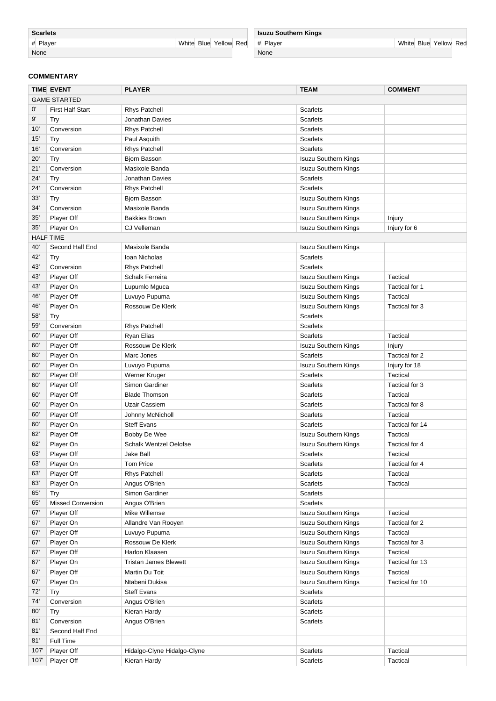| <b>Scarlets</b> |  |                       |  |
|-----------------|--|-----------------------|--|
| # Player        |  | White Blue Yellow Red |  |
| None            |  |                       |  |

|    | <b>Isuzu Southern Kings</b> |  |  |                       |  |  |  |
|----|-----------------------------|--|--|-----------------------|--|--|--|
| ed | # Plaver                    |  |  | White Blue Yellow Red |  |  |  |
|    | None                        |  |  |                       |  |  |  |
|    |                             |  |  |                       |  |  |  |

# **COMMENTARY**

|              | <b>TIME EVENT</b>        | <b>PLAYER</b>                          | <b>TEAM</b>                 | <b>COMMENT</b>        |  |  |  |
|--------------|--------------------------|----------------------------------------|-----------------------------|-----------------------|--|--|--|
|              | <b>GAME STARTED</b>      |                                        |                             |                       |  |  |  |
| 0'           | <b>First Half Start</b>  | <b>Rhys Patchell</b>                   | <b>Scarlets</b>             |                       |  |  |  |
| 9'           | Try                      | Jonathan Davies                        | <b>Scarlets</b>             |                       |  |  |  |
| 10'          | Conversion               | <b>Rhys Patchell</b>                   | <b>Scarlets</b>             |                       |  |  |  |
| 15'          | Try                      | Paul Asquith                           | <b>Scarlets</b>             |                       |  |  |  |
| 16'          | Conversion               | <b>Rhys Patchell</b>                   | <b>Scarlets</b>             |                       |  |  |  |
| $20^{\circ}$ | Try                      | <b>Bjorn Basson</b>                    | <b>Isuzu Southern Kings</b> |                       |  |  |  |
| 21'          | Conversion               | Masixole Banda                         | Isuzu Southern Kings        |                       |  |  |  |
| 24'          | Try                      | Jonathan Davies                        | <b>Scarlets</b>             |                       |  |  |  |
| 24'          | Conversion               | <b>Rhys Patchell</b>                   | <b>Scarlets</b>             |                       |  |  |  |
| 33'          | Try                      | Bjorn Basson                           | Isuzu Southern Kings        |                       |  |  |  |
| 34'          | Conversion               |                                        |                             |                       |  |  |  |
| 35'          |                          | Masixole Banda<br><b>Bakkies Brown</b> | Isuzu Southern Kings        |                       |  |  |  |
|              | Player Off               | CJ Velleman                            | Isuzu Southern Kings        | Injury                |  |  |  |
| $35^{\circ}$ | Player On                |                                        | Isuzu Southern Kings        | Injury for 6          |  |  |  |
|              | <b>HALF TIME</b>         |                                        |                             |                       |  |  |  |
| 40'          | Second Half End          | Masixole Banda                         | <b>Isuzu Southern Kings</b> |                       |  |  |  |
| 42'          | Try                      | Ioan Nicholas                          | <b>Scarlets</b>             |                       |  |  |  |
| 43'          | Conversion               | <b>Rhys Patchell</b>                   | Scarlets                    |                       |  |  |  |
| 43'          | Player Off               | Schalk Ferreira                        | Isuzu Southern Kings        | Tactical              |  |  |  |
| 43'          | Player On                | Lupumlo Mguca                          | Isuzu Southern Kings        | Tactical for 1        |  |  |  |
| 46           | Player Off               | Luvuyo Pupuma                          | Isuzu Southern Kings        | Tactical              |  |  |  |
| 46           | Player On                | Rossouw De Klerk                       | Isuzu Southern Kings        | Tactical for 3        |  |  |  |
| 58'          | Try                      |                                        | <b>Scarlets</b>             |                       |  |  |  |
| 59'          | Conversion               | <b>Rhys Patchell</b>                   | <b>Scarlets</b>             |                       |  |  |  |
| 60'          | Player Off               | Ryan Elias                             | <b>Scarlets</b>             | Tactical              |  |  |  |
| 60'          | Player Off               | Rossouw De Klerk                       | Isuzu Southern Kings        | Injury                |  |  |  |
| 60'          | Player On                | Marc Jones                             | <b>Scarlets</b>             | Tactical for 2        |  |  |  |
| 60'          | Player On                | Luvuyo Pupuma                          | Isuzu Southern Kings        | Injury for 18         |  |  |  |
| 60'          | Player Off               | Werner Kruger                          | <b>Scarlets</b>             | Tactical              |  |  |  |
| 60'          | Player Off               | Simon Gardiner                         | <b>Scarlets</b>             | Tactical for 3        |  |  |  |
| 60           | Player Off               | <b>Blade Thomson</b>                   | <b>Scarlets</b>             | Tactical              |  |  |  |
| 60           | Player On                | Uzair Cassiem                          | <b>Scarlets</b>             | Tactical for 8        |  |  |  |
| 60           | Player Off               | Johnny McNicholl                       | <b>Scarlets</b>             | Tactical              |  |  |  |
| 60           | Player On                | <b>Steff Evans</b>                     | <b>Scarlets</b>             | Tactical for 14       |  |  |  |
| 62           | Player Off               | Bobby De Wee                           | <b>Isuzu Southern Kings</b> | Tactical              |  |  |  |
| 62'          | Player On                | <b>Schalk Wentzel Oelofse</b>          | <b>Isuzu Southern Kings</b> | <b>Tactical for 4</b> |  |  |  |
| 63'          | Player Off               | Jake Ball                              | Scarlets                    | Tactical              |  |  |  |
| 63           | Player On                | Tom Price                              | Scarlets                    | Tactical for 4        |  |  |  |
| 63'          | Player Off               | <b>Rhys Patchell</b>                   | <b>Scarlets</b>             | Tactical              |  |  |  |
| 63'          | Player On                | Angus O'Brien                          | <b>Scarlets</b>             | Tactical              |  |  |  |
| 65'          | Try                      | Simon Gardiner                         | <b>Scarlets</b>             |                       |  |  |  |
| 65'          | <b>Missed Conversion</b> | Angus O'Brien                          | <b>Scarlets</b>             |                       |  |  |  |
| 67'          | Player Off               | Mike Willemse                          | <b>Isuzu Southern Kings</b> | Tactical              |  |  |  |
| 67'          | Player On                | Allandre Van Rooyen                    | <b>Isuzu Southern Kings</b> | Tactical for 2        |  |  |  |
| 67'          | Player Off               | Luvuyo Pupuma                          | <b>Isuzu Southern Kings</b> | Tactical              |  |  |  |
| 67'          | Player On                | Rossouw De Klerk                       | <b>Isuzu Southern Kings</b> | Tactical for 3        |  |  |  |
| 67'          | Player Off               | Harlon Klaasen                         | <b>Isuzu Southern Kings</b> | Tactical              |  |  |  |
| 67'          | Player On                | <b>Tristan James Blewett</b>           | <b>Isuzu Southern Kings</b> | Tactical for 13       |  |  |  |
| 67'          | Player Off               | Martin Du Toit                         | Isuzu Southern Kings        | Tactical              |  |  |  |
| 67           | Player On                | Ntabeni Dukisa                         | Isuzu Southern Kings        | Tactical for 10       |  |  |  |
| 72'          | Try                      | <b>Steff Evans</b>                     | Scarlets                    |                       |  |  |  |
| 74'          | Conversion               | Angus O'Brien                          | Scarlets                    |                       |  |  |  |
| 80'          | Try                      | Kieran Hardy                           | Scarlets                    |                       |  |  |  |
| 81'          | Conversion               | Angus O'Brien                          | Scarlets                    |                       |  |  |  |
| 81'          | Second Half End          |                                        |                             |                       |  |  |  |
| 81'          | Full Time                |                                        |                             |                       |  |  |  |
| 107          | Player Off               | Hidalgo-Clyne Hidalgo-Clyne            | <b>Scarlets</b>             | Tactical              |  |  |  |
| 107          | Player Off               | Kieran Hardy                           | <b>Scarlets</b>             | Tactical              |  |  |  |